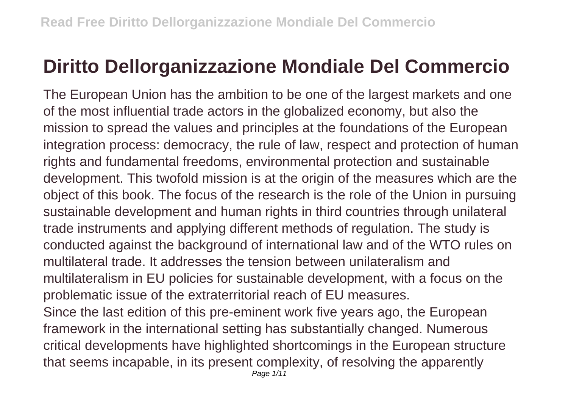## **Diritto Dellorganizzazione Mondiale Del Commercio**

The European Union has the ambition to be one of the largest markets and one of the most influential trade actors in the globalized economy, but also the mission to spread the values and principles at the foundations of the European integration process: democracy, the rule of law, respect and protection of human rights and fundamental freedoms, environmental protection and sustainable development. This twofold mission is at the origin of the measures which are the object of this book. The focus of the research is the role of the Union in pursuing sustainable development and human rights in third countries through unilateral trade instruments and applying different methods of regulation. The study is conducted against the background of international law and of the WTO rules on multilateral trade. It addresses the tension between unilateralism and multilateralism in EU policies for sustainable development, with a focus on the problematic issue of the extraterritorial reach of EU measures. Since the last edition of this pre-eminent work five years ago, the European framework in the international setting has substantially changed. Numerous critical developments have highlighted shortcomings in the European structure that seems incapable, in its present complexity, of resolving the apparently Page 1/11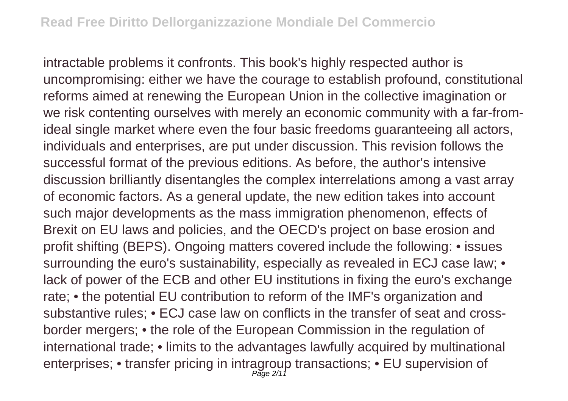intractable problems it confronts. This book's highly respected author is uncompromising: either we have the courage to establish profound, constitutional reforms aimed at renewing the European Union in the collective imagination or we risk contenting ourselves with merely an economic community with a far-fromideal single market where even the four basic freedoms guaranteeing all actors, individuals and enterprises, are put under discussion. This revision follows the successful format of the previous editions. As before, the author's intensive discussion brilliantly disentangles the complex interrelations among a vast array of economic factors. As a general update, the new edition takes into account such major developments as the mass immigration phenomenon, effects of Brexit on EU laws and policies, and the OECD's project on base erosion and profit shifting (BEPS). Ongoing matters covered include the following: • issues surrounding the euro's sustainability, especially as revealed in ECJ case law; • lack of power of the ECB and other EU institutions in fixing the euro's exchange rate; • the potential EU contribution to reform of the IMF's organization and substantive rules; • ECJ case law on conflicts in the transfer of seat and crossborder mergers; • the role of the European Commission in the regulation of international trade; • limits to the advantages lawfully acquired by multinational enterprises; • transfer pricing in intragroup transactions; • EU supervision of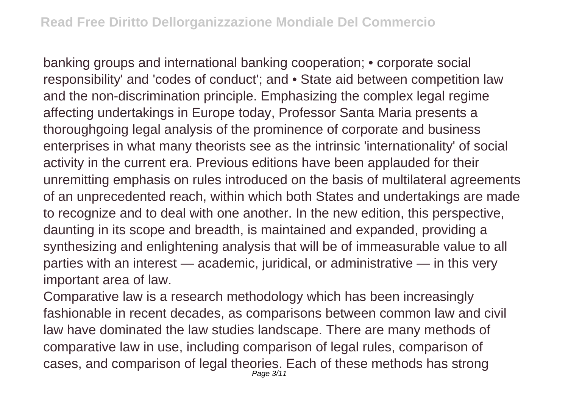banking groups and international banking cooperation; • corporate social responsibility' and 'codes of conduct'; and • State aid between competition law and the non-discrimination principle. Emphasizing the complex legal regime affecting undertakings in Europe today, Professor Santa Maria presents a thoroughgoing legal analysis of the prominence of corporate and business enterprises in what many theorists see as the intrinsic 'internationality' of social activity in the current era. Previous editions have been applauded for their unremitting emphasis on rules introduced on the basis of multilateral agreements of an unprecedented reach, within which both States and undertakings are made to recognize and to deal with one another. In the new edition, this perspective, daunting in its scope and breadth, is maintained and expanded, providing a synthesizing and enlightening analysis that will be of immeasurable value to all parties with an interest — academic, juridical, or administrative — in this very important area of law.

Comparative law is a research methodology which has been increasingly fashionable in recent decades, as comparisons between common law and civil law have dominated the law studies landscape. There are many methods of comparative law in use, including comparison of legal rules, comparison of cases, and comparison of legal theories. Each of these methods has strong Page 3/11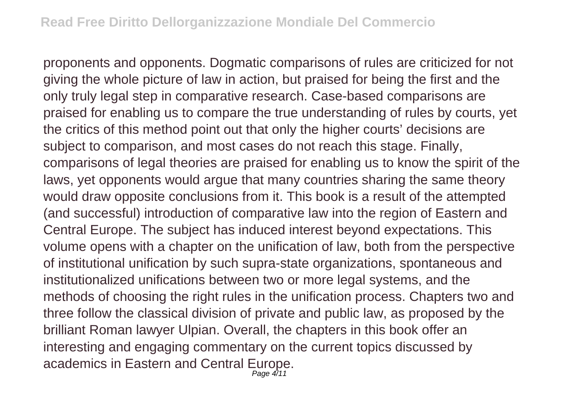proponents and opponents. Dogmatic comparisons of rules are criticized for not giving the whole picture of law in action, but praised for being the first and the only truly legal step in comparative research. Case-based comparisons are praised for enabling us to compare the true understanding of rules by courts, yet the critics of this method point out that only the higher courts' decisions are subject to comparison, and most cases do not reach this stage. Finally, comparisons of legal theories are praised for enabling us to know the spirit of the laws, yet opponents would argue that many countries sharing the same theory would draw opposite conclusions from it. This book is a result of the attempted (and successful) introduction of comparative law into the region of Eastern and Central Europe. The subject has induced interest beyond expectations. This volume opens with a chapter on the unification of law, both from the perspective of institutional unification by such supra-state organizations, spontaneous and institutionalized unifications between two or more legal systems, and the methods of choosing the right rules in the unification process. Chapters two and three follow the classical division of private and public law, as proposed by the brilliant Roman lawyer Ulpian. Overall, the chapters in this book offer an interesting and engaging commentary on the current topics discussed by academics in Eastern and Central Europe. Page 4/11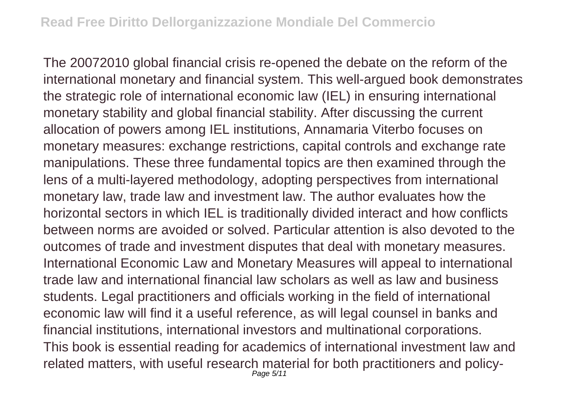The 20072010 global financial crisis re-opened the debate on the reform of the international monetary and financial system. This well-argued book demonstrates the strategic role of international economic law (IEL) in ensuring international monetary stability and global financial stability. After discussing the current allocation of powers among IEL institutions, Annamaria Viterbo focuses on monetary measures: exchange restrictions, capital controls and exchange rate manipulations. These three fundamental topics are then examined through the lens of a multi-layered methodology, adopting perspectives from international monetary law, trade law and investment law. The author evaluates how the horizontal sectors in which IEL is traditionally divided interact and how conflicts between norms are avoided or solved. Particular attention is also devoted to the outcomes of trade and investment disputes that deal with monetary measures. International Economic Law and Monetary Measures will appeal to international trade law and international financial law scholars as well as law and business students. Legal practitioners and officials working in the field of international economic law will find it a useful reference, as will legal counsel in banks and financial institutions, international investors and multinational corporations. This book is essential reading for academics of international investment law and related matters, with useful research material for both practitioners and policy-Page 5/11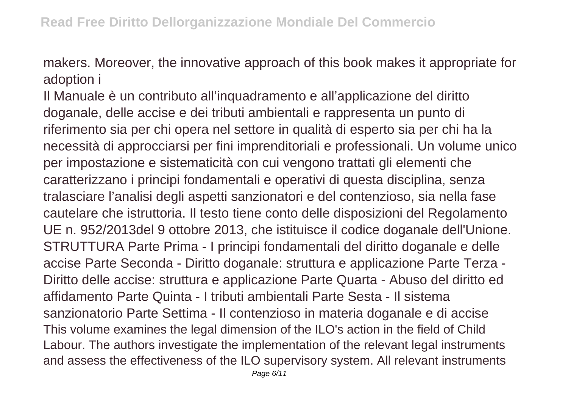makers. Moreover, the innovative approach of this book makes it appropriate for adoption i

Il Manuale è un contributo all'inquadramento e all'applicazione del diritto doganale, delle accise e dei tributi ambientali e rappresenta un punto di riferimento sia per chi opera nel settore in qualità di esperto sia per chi ha la necessità di approcciarsi per fini imprenditoriali e professionali. Un volume unico per impostazione e sistematicità con cui vengono trattati gli elementi che caratterizzano i principi fondamentali e operativi di questa disciplina, senza tralasciare l'analisi degli aspetti sanzionatori e del contenzioso, sia nella fase cautelare che istruttoria. Il testo tiene conto delle disposizioni del Regolamento UE n. 952/2013del 9 ottobre 2013, che istituisce il codice doganale dell'Unione. STRUTTURA Parte Prima - I principi fondamentali del diritto doganale e delle accise Parte Seconda - Diritto doganale: struttura e applicazione Parte Terza - Diritto delle accise: struttura e applicazione Parte Quarta - Abuso del diritto ed affidamento Parte Quinta - I tributi ambientali Parte Sesta - Il sistema sanzionatorio Parte Settima - Il contenzioso in materia doganale e di accise This volume examines the legal dimension of the ILO's action in the field of Child Labour. The authors investigate the implementation of the relevant legal instruments and assess the effectiveness of the ILO supervisory system. All relevant instruments Page 6/11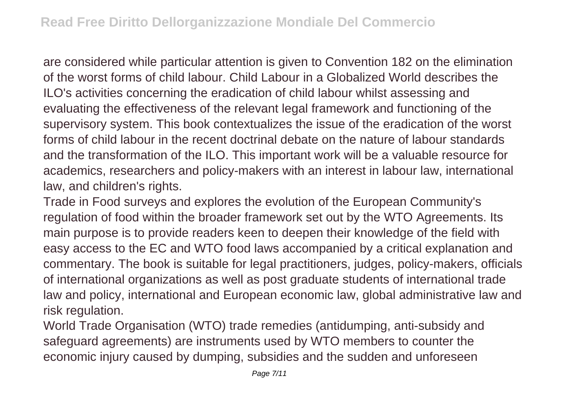are considered while particular attention is given to Convention 182 on the elimination of the worst forms of child labour. Child Labour in a Globalized World describes the ILO's activities concerning the eradication of child labour whilst assessing and evaluating the effectiveness of the relevant legal framework and functioning of the supervisory system. This book contextualizes the issue of the eradication of the worst forms of child labour in the recent doctrinal debate on the nature of labour standards and the transformation of the ILO. This important work will be a valuable resource for academics, researchers and policy-makers with an interest in labour law, international law, and children's rights.

Trade in Food surveys and explores the evolution of the European Community's regulation of food within the broader framework set out by the WTO Agreements. Its main purpose is to provide readers keen to deepen their knowledge of the field with easy access to the EC and WTO food laws accompanied by a critical explanation and commentary. The book is suitable for legal practitioners, judges, policy-makers, officials of international organizations as well as post graduate students of international trade law and policy, international and European economic law, global administrative law and risk regulation.

World Trade Organisation (WTO) trade remedies (antidumping, anti-subsidy and safeguard agreements) are instruments used by WTO members to counter the economic injury caused by dumping, subsidies and the sudden and unforeseen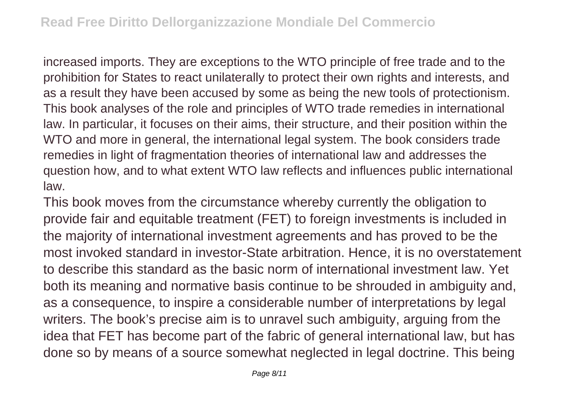increased imports. They are exceptions to the WTO principle of free trade and to the prohibition for States to react unilaterally to protect their own rights and interests, and as a result they have been accused by some as being the new tools of protectionism. This book analyses of the role and principles of WTO trade remedies in international law. In particular, it focuses on their aims, their structure, and their position within the WTO and more in general, the international legal system. The book considers trade remedies in light of fragmentation theories of international law and addresses the question how, and to what extent WTO law reflects and influences public international law.

This book moves from the circumstance whereby currently the obligation to provide fair and equitable treatment (FET) to foreign investments is included in the majority of international investment agreements and has proved to be the most invoked standard in investor-State arbitration. Hence, it is no overstatement to describe this standard as the basic norm of international investment law. Yet both its meaning and normative basis continue to be shrouded in ambiguity and, as a consequence, to inspire a considerable number of interpretations by legal writers. The book's precise aim is to unravel such ambiguity, arguing from the idea that FET has become part of the fabric of general international law, but has done so by means of a source somewhat neglected in legal doctrine. This being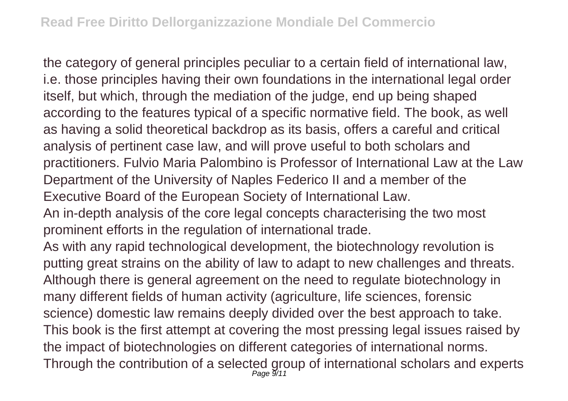the category of general principles peculiar to a certain field of international law, i.e. those principles having their own foundations in the international legal order itself, but which, through the mediation of the judge, end up being shaped according to the features typical of a specific normative field. The book, as well as having a solid theoretical backdrop as its basis, offers a careful and critical analysis of pertinent case law, and will prove useful to both scholars and practitioners. Fulvio Maria Palombino is Professor of International Law at the Law Department of the University of Naples Federico II and a member of the Executive Board of the European Society of International Law.

An in-depth analysis of the core legal concepts characterising the two most prominent efforts in the regulation of international trade.

As with any rapid technological development, the biotechnology revolution is putting great strains on the ability of law to adapt to new challenges and threats. Although there is general agreement on the need to regulate biotechnology in many different fields of human activity (agriculture, life sciences, forensic science) domestic law remains deeply divided over the best approach to take. This book is the first attempt at covering the most pressing legal issues raised by the impact of biotechnologies on different categories of international norms. Through the contribution of a selected group of international scholars and experts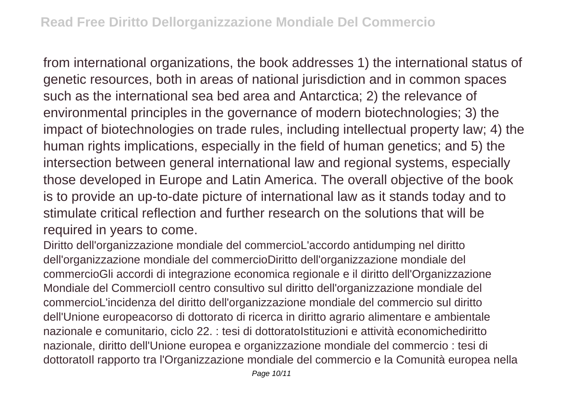from international organizations, the book addresses 1) the international status of genetic resources, both in areas of national jurisdiction and in common spaces such as the international sea bed area and Antarctica; 2) the relevance of environmental principles in the governance of modern biotechnologies; 3) the impact of biotechnologies on trade rules, including intellectual property law; 4) the human rights implications, especially in the field of human genetics; and 5) the intersection between general international law and regional systems, especially those developed in Europe and Latin America. The overall objective of the book is to provide an up-to-date picture of international law as it stands today and to stimulate critical reflection and further research on the solutions that will be required in years to come.

Diritto dell'organizzazione mondiale del commercioL'accordo antidumping nel diritto dell'organizzazione mondiale del commercioDiritto dell'organizzazione mondiale del commercioGli accordi di integrazione economica regionale e il diritto dell'Organizzazione Mondiale del CommercioIl centro consultivo sul diritto dell'organizzazione mondiale del commercioL'incidenza del diritto dell'organizzazione mondiale del commercio sul diritto dell'Unione europeacorso di dottorato di ricerca in diritto agrario alimentare e ambientale nazionale e comunitario, ciclo 22. : tesi di dottoratolstituzioni e attività economichediritto nazionale, diritto dell'Unione europea e organizzazione mondiale del commercio : tesi di dottoratoll rapporto tra l'Organizzazione mondiale del commercio e la Comunità europea nella